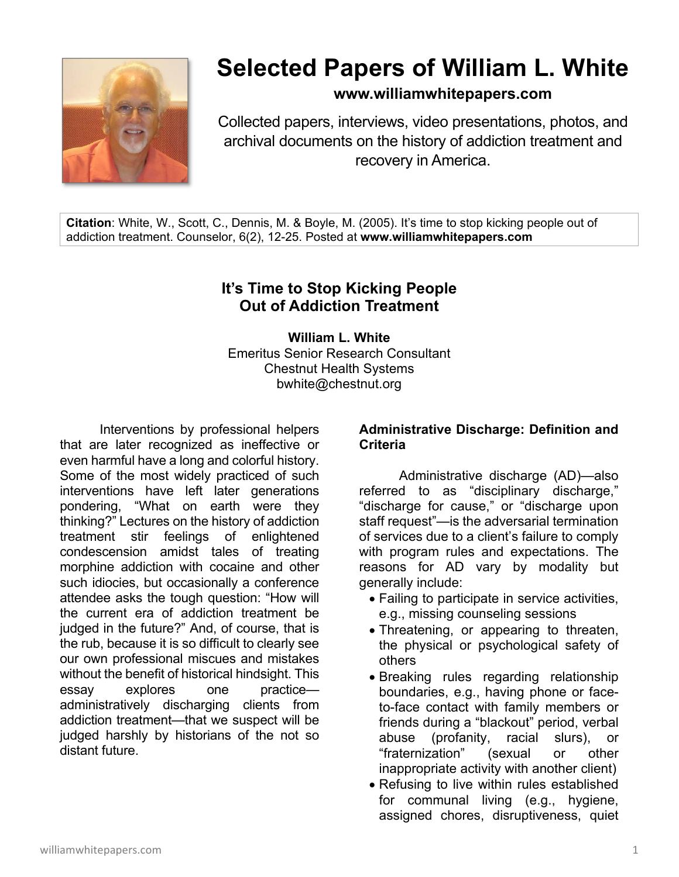

# **Selected Papers of William L. White**

**www.williamwhitepapers.com**

Collected papers, interviews, video presentations, photos, and archival documents on the history of addiction treatment and recovery in America.

**Citation**: White, W., Scott, C., Dennis, M. & Boyle, M. (2005). It's time to stop kicking people out of addiction treatment. Counselor, 6(2), 12-25. Posted at **www.williamwhitepapers.com** 

# **It's Time to Stop Kicking People Out of Addiction Treatment**

**William L. White**  Emeritus Senior Research Consultant Chestnut Health Systems bwhite@chestnut.org

Interventions by professional helpers that are later recognized as ineffective or even harmful have a long and colorful history. Some of the most widely practiced of such interventions have left later generations pondering, "What on earth were they thinking?" Lectures on the history of addiction treatment stir feelings of enlightened condescension amidst tales of treating morphine addiction with cocaine and other such idiocies, but occasionally a conference attendee asks the tough question: "How will the current era of addiction treatment be judged in the future?" And, of course, that is the rub, because it is so difficult to clearly see our own professional miscues and mistakes without the benefit of historical hindsight. This essay explores one practice administratively discharging clients from addiction treatment—that we suspect will be judged harshly by historians of the not so distant future.

### **Administrative Discharge: Definition and Criteria**

 Administrative discharge (AD)—also referred to as "disciplinary discharge," "discharge for cause," or "discharge upon staff request"—is the adversarial termination of services due to a client's failure to comply with program rules and expectations. The reasons for AD vary by modality but generally include:

- Failing to participate in service activities, e.g., missing counseling sessions
- Threatening, or appearing to threaten, the physical or psychological safety of others
- Breaking rules regarding relationship boundaries, e.g., having phone or faceto-face contact with family members or friends during a "blackout" period, verbal abuse (profanity, racial slurs), or "fraternization" (sexual or other inappropriate activity with another client)
- Refusing to live within rules established for communal living (e.g., hygiene, assigned chores, disruptiveness, quiet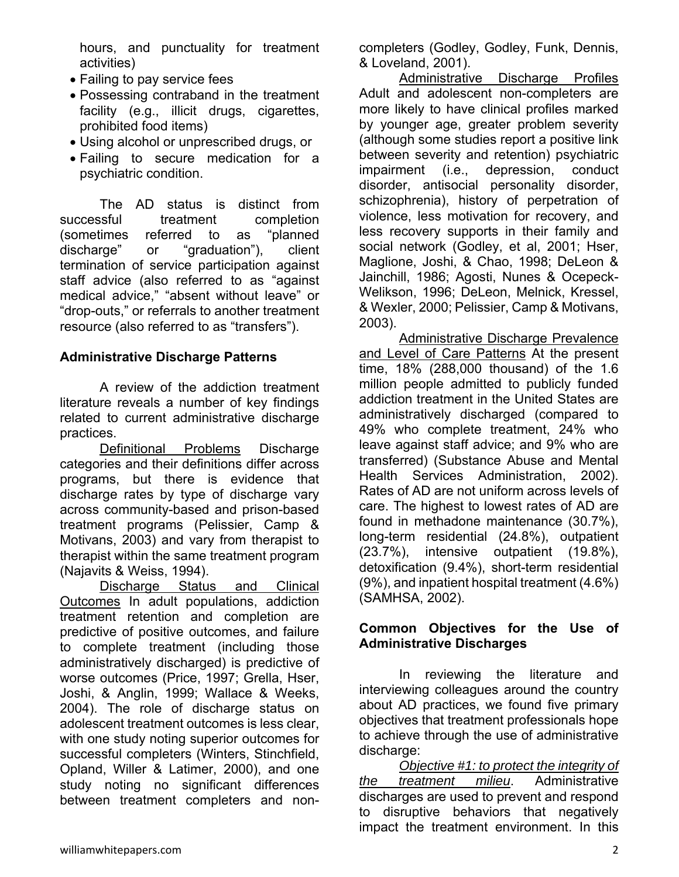hours, and punctuality for treatment activities)

- Failing to pay service fees
- Possessing contraband in the treatment facility (e.g., illicit drugs, cigarettes, prohibited food items)
- Using alcohol or unprescribed drugs, or
- Failing to secure medication for a psychiatric condition.

The AD status is distinct from successful treatment completion (sometimes referred to as "planned discharge" or "graduation"), client termination of service participation against staff advice (also referred to as "against medical advice," "absent without leave" or "drop-outs," or referrals to another treatment resource (also referred to as "transfers").

# **Administrative Discharge Patterns**

A review of the addiction treatment literature reveals a number of key findings related to current administrative discharge practices.

 Definitional Problems Discharge categories and their definitions differ across programs, but there is evidence that discharge rates by type of discharge vary across community-based and prison-based treatment programs (Pelissier, Camp & Motivans, 2003) and vary from therapist to therapist within the same treatment program (Najavits & Weiss, 1994).

Discharge Status and Clinical Outcomes In adult populations, addiction treatment retention and completion are predictive of positive outcomes, and failure to complete treatment (including those administratively discharged) is predictive of worse outcomes (Price, 1997; Grella, Hser, Joshi, & Anglin, 1999; Wallace & Weeks, 2004). The role of discharge status on adolescent treatment outcomes is less clear, with one study noting superior outcomes for successful completers (Winters, Stinchfield, Opland, Willer & Latimer, 2000), and one study noting no significant differences between treatment completers and noncompleters (Godley, Godley, Funk, Dennis, & Loveland, 2001).

Administrative Discharge Profiles Adult and adolescent non-completers are more likely to have clinical profiles marked by younger age, greater problem severity (although some studies report a positive link between severity and retention) psychiatric impairment (i.e., depression, conduct disorder, antisocial personality disorder, schizophrenia), history of perpetration of violence, less motivation for recovery, and less recovery supports in their family and social network (Godley, et al, 2001; Hser, Maglione, Joshi, & Chao, 1998; DeLeon & Jainchill, 1986; Agosti, Nunes & Ocepeck-Welikson, 1996; DeLeon, Melnick, Kressel, & Wexler, 2000; Pelissier, Camp & Motivans, 2003).

Administrative Discharge Prevalence and Level of Care Patterns At the present time, 18% (288,000 thousand) of the 1.6 million people admitted to publicly funded addiction treatment in the United States are administratively discharged (compared to 49% who complete treatment, 24% who leave against staff advice; and 9% who are transferred) (Substance Abuse and Mental Health Services Administration, 2002). Rates of AD are not uniform across levels of care. The highest to lowest rates of AD are found in methadone maintenance (30.7%), long-term residential (24.8%), outpatient (23.7%), intensive outpatient (19.8%), detoxification (9.4%), short-term residential (9%), and inpatient hospital treatment (4.6%) (SAMHSA, 2002).

# **Common Objectives for the Use of Administrative Discharges**

 In reviewing the literature and interviewing colleagues around the country about AD practices, we found five primary objectives that treatment professionals hope to achieve through the use of administrative discharge:

*Objective #1: to protect the integrity of the treatment milieu*. Administrative discharges are used to prevent and respond to disruptive behaviors that negatively impact the treatment environment. In this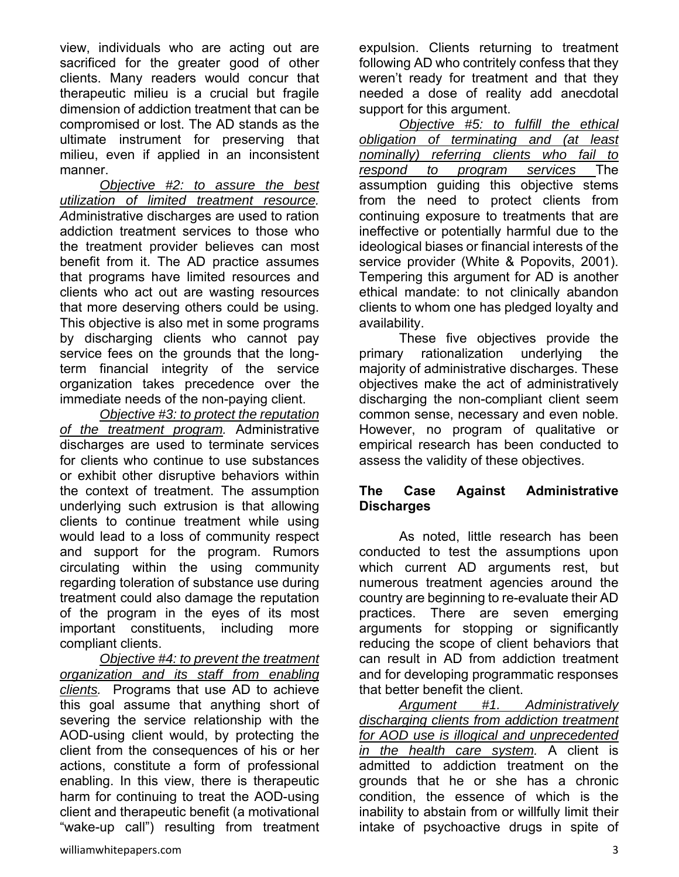view, individuals who are acting out are sacrificed for the greater good of other clients. Many readers would concur that therapeutic milieu is a crucial but fragile dimension of addiction treatment that can be compromised or lost. The AD stands as the ultimate instrument for preserving that milieu, even if applied in an inconsistent manner.

*Objective #2: to assure the best utilization of limited treatment resource. A*dministrative discharges are used to ration addiction treatment services to those who the treatment provider believes can most benefit from it. The AD practice assumes that programs have limited resources and clients who act out are wasting resources that more deserving others could be using. This objective is also met in some programs by discharging clients who cannot pay service fees on the grounds that the longterm financial integrity of the service organization takes precedence over the immediate needs of the non-paying client.

*Objective #3: to protect the reputation of the treatment program.* Administrative discharges are used to terminate services for clients who continue to use substances or exhibit other disruptive behaviors within the context of treatment. The assumption underlying such extrusion is that allowing clients to continue treatment while using would lead to a loss of community respect and support for the program. Rumors circulating within the using community regarding toleration of substance use during treatment could also damage the reputation of the program in the eyes of its most important constituents, including more compliant clients.

*Objective #4: to prevent the treatment organization and its staff from enabling clients.* Programs that use AD to achieve this goal assume that anything short of severing the service relationship with the AOD-using client would, by protecting the client from the consequences of his or her actions, constitute a form of professional enabling. In this view, there is therapeutic harm for continuing to treat the AOD-using client and therapeutic benefit (a motivational "wake-up call") resulting from treatment expulsion. Clients returning to treatment following AD who contritely confess that they weren't ready for treatment and that they needed a dose of reality add anecdotal support for this argument.

*Objective #5: to fulfill the ethical obligation of terminating and (at least nominally) referring clients who fail to respond to program services* The assumption guiding this objective stems from the need to protect clients from continuing exposure to treatments that are ineffective or potentially harmful due to the ideological biases or financial interests of the service provider (White & Popovits, 2001). Tempering this argument for AD is another ethical mandate: to not clinically abandon clients to whom one has pledged loyalty and availability.

These five objectives provide the primary rationalization underlying the majority of administrative discharges. These objectives make the act of administratively discharging the non-compliant client seem common sense, necessary and even noble. However, no program of qualitative or empirical research has been conducted to assess the validity of these objectives.

### **The Case Against Administrative Discharges**

As noted, little research has been conducted to test the assumptions upon which current AD arguments rest, but numerous treatment agencies around the country are beginning to re-evaluate their AD practices. There are seven emerging arguments for stopping or significantly reducing the scope of client behaviors that can result in AD from addiction treatment and for developing programmatic responses that better benefit the client.

*Argument #1. Administratively discharging clients from addiction treatment for AOD use is illogical and unprecedented in the health care system.* A client is admitted to addiction treatment on the grounds that he or she has a chronic condition, the essence of which is the inability to abstain from or willfully limit their intake of psychoactive drugs in spite of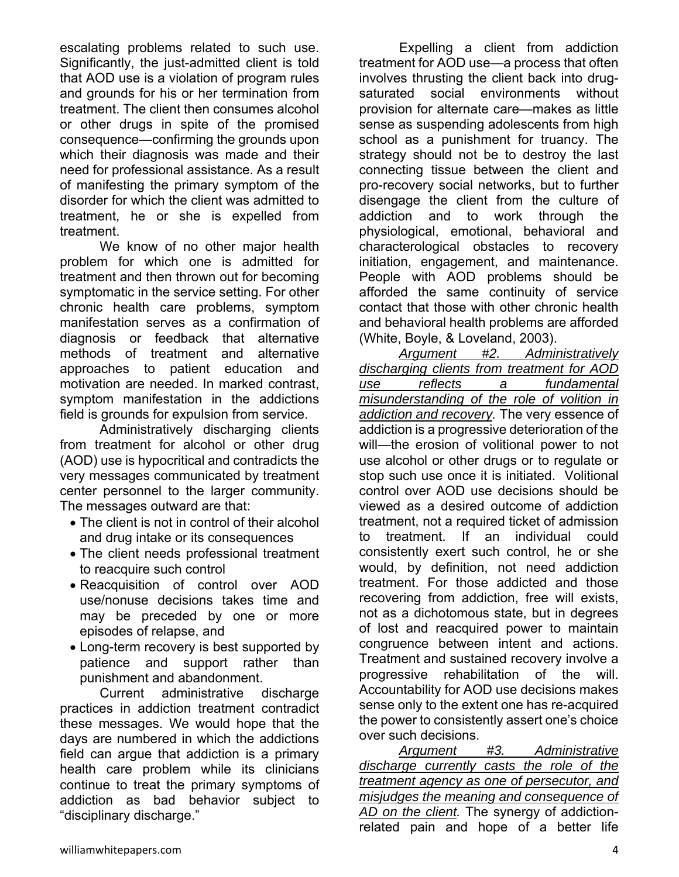escalating problems related to such use. Significantly, the just-admitted client is told that AOD use is a violation of program rules and grounds for his or her termination from treatment. The client then consumes alcohol or other drugs in spite of the promised consequence—confirming the grounds upon which their diagnosis was made and their need for professional assistance. As a result of manifesting the primary symptom of the disorder for which the client was admitted to treatment, he or she is expelled from treatment.

We know of no other major health problem for which one is admitted for treatment and then thrown out for becoming symptomatic in the service setting. For other chronic health care problems, symptom manifestation serves as a confirmation of diagnosis or feedback that alternative methods of treatment and alternative approaches to patient education and motivation are needed. In marked contrast, symptom manifestation in the addictions field is grounds for expulsion from service.

Administratively discharging clients from treatment for alcohol or other drug (AOD) use is hypocritical and contradicts the very messages communicated by treatment center personnel to the larger community. The messages outward are that:

- The client is not in control of their alcohol and drug intake or its consequences
- The client needs professional treatment to reacquire such control
- Reacquisition of control over AOD use/nonuse decisions takes time and may be preceded by one or more episodes of relapse, and
- Long-term recovery is best supported by patience and support rather than punishment and abandonment.

Current administrative discharge practices in addiction treatment contradict these messages. We would hope that the days are numbered in which the addictions field can argue that addiction is a primary health care problem while its clinicians continue to treat the primary symptoms of addiction as bad behavior subject to "disciplinary discharge."

Expelling a client from addiction treatment for AOD use—a process that often involves thrusting the client back into drugsaturated social environments without provision for alternate care—makes as little sense as suspending adolescents from high school as a punishment for truancy. The strategy should not be to destroy the last connecting tissue between the client and pro-recovery social networks, but to further disengage the client from the culture of addiction and to work through the physiological, emotional, behavioral and characterological obstacles to recovery initiation, engagement, and maintenance. People with AOD problems should be afforded the same continuity of service contact that those with other chronic health and behavioral health problems are afforded (White, Boyle, & Loveland, 2003).

*Argument #2. Administratively discharging clients from treatment for AOD use reflects a fundamental misunderstanding of the role of volition in addiction and recovery.* The very essence of addiction is a progressive deterioration of the will—the erosion of volitional power to not use alcohol or other drugs or to regulate or stop such use once it is initiated. Volitional control over AOD use decisions should be viewed as a desired outcome of addiction treatment, not a required ticket of admission to treatment. If an individual could consistently exert such control, he or she would, by definition, not need addiction treatment. For those addicted and those recovering from addiction, free will exists, not as a dichotomous state, but in degrees of lost and reacquired power to maintain congruence between intent and actions. Treatment and sustained recovery involve a progressive rehabilitation of the will. Accountability for AOD use decisions makes sense only to the extent one has re-acquired the power to consistently assert one's choice over such decisions.

*Argument #3. Administrative discharge currently casts the role of the treatment agency as one of persecutor, and misjudges the meaning and consequence of AD on the client.* The synergy of addictionrelated pain and hope of a better life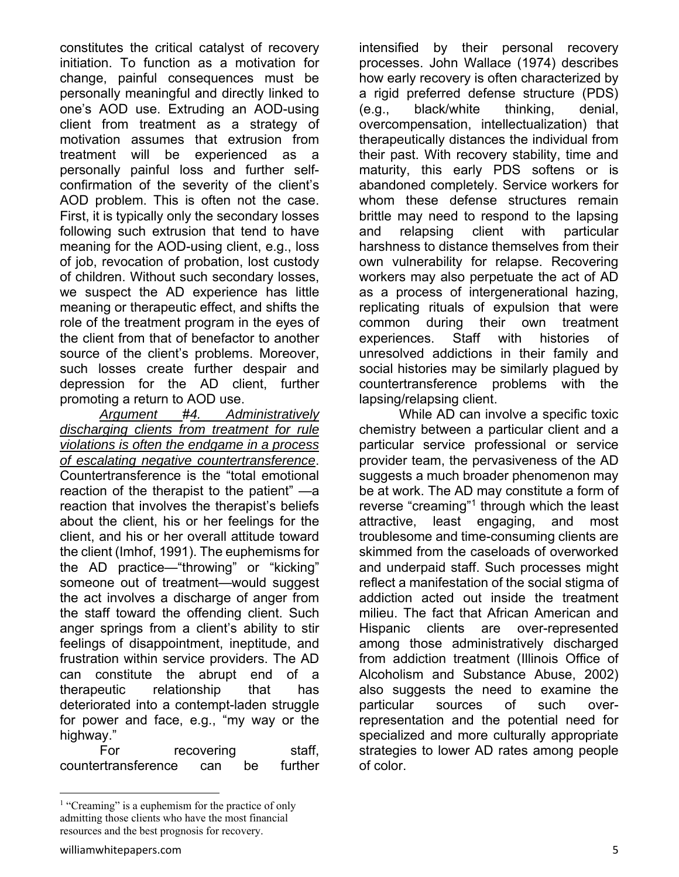constitutes the critical catalyst of recovery initiation. To function as a motivation for change, painful consequences must be personally meaningful and directly linked to one's AOD use. Extruding an AOD-using client from treatment as a strategy of motivation assumes that extrusion from treatment will be experienced as a personally painful loss and further selfconfirmation of the severity of the client's AOD problem. This is often not the case. First, it is typically only the secondary losses following such extrusion that tend to have meaning for the AOD-using client, e.g., loss of job, revocation of probation, lost custody of children. Without such secondary losses, we suspect the AD experience has little meaning or therapeutic effect, and shifts the role of the treatment program in the eyes of the client from that of benefactor to another source of the client's problems. Moreover, such losses create further despair and depression for the AD client, further promoting a return to AOD use.

*Argument* #*4. Administratively discharging clients from treatment for rule violations is often the endgame in a process of escalating negative countertransference*. Countertransference is the "total emotional reaction of the therapist to the patient" —a reaction that involves the therapist's beliefs about the client, his or her feelings for the client, and his or her overall attitude toward the client (Imhof, 1991). The euphemisms for the AD practice—"throwing" or "kicking" someone out of treatment—would suggest the act involves a discharge of anger from the staff toward the offending client. Such anger springs from a client's ability to stir feelings of disappointment, ineptitude, and frustration within service providers. The AD can constitute the abrupt end of a therapeutic relationship that has deteriorated into a contempt-laden struggle for power and face, e.g., "my way or the highway."

For recovering staff, countertransference can be further intensified by their personal recovery processes. John Wallace (1974) describes how early recovery is often characterized by a rigid preferred defense structure (PDS) (e.g., black/white thinking, denial, overcompensation, intellectualization) that therapeutically distances the individual from their past. With recovery stability, time and maturity, this early PDS softens or is abandoned completely. Service workers for whom these defense structures remain brittle may need to respond to the lapsing and relapsing client with particular harshness to distance themselves from their own vulnerability for relapse. Recovering workers may also perpetuate the act of AD as a process of intergenerational hazing, replicating rituals of expulsion that were common during their own treatment experiences. Staff with histories of unresolved addictions in their family and social histories may be similarly plagued by countertransference problems with the lapsing/relapsing client.

While AD can involve a specific toxic chemistry between a particular client and a particular service professional or service provider team, the pervasiveness of the AD suggests a much broader phenomenon may be at work. The AD may constitute a form of reverse "creaming"<sup>1</sup> through which the least attractive, least engaging, and most troublesome and time-consuming clients are skimmed from the caseloads of overworked and underpaid staff. Such processes might reflect a manifestation of the social stigma of addiction acted out inside the treatment milieu. The fact that African American and Hispanic clients are over-represented among those administratively discharged from addiction treatment (Illinois Office of Alcoholism and Substance Abuse, 2002) also suggests the need to examine the particular sources of such overrepresentation and the potential need for specialized and more culturally appropriate strategies to lower AD rates among people of color.

<sup>&</sup>lt;sup>1</sup> "Creaming" is a euphemism for the practice of only admitting those clients who have the most financial resources and the best prognosis for recovery.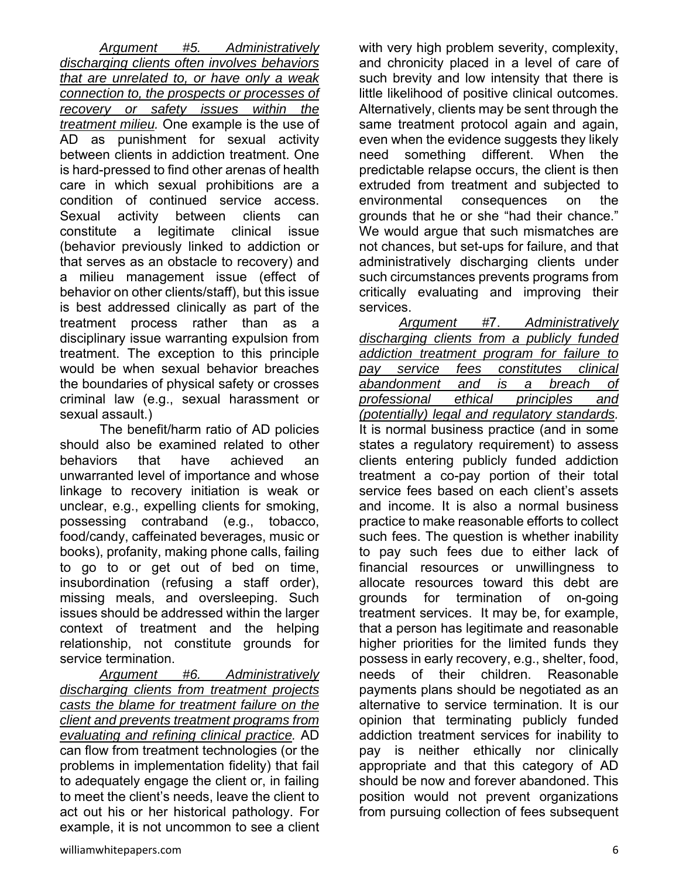*Argument #5. Administratively discharging clients often involves behaviors that are unrelated to, or have only a weak connection to, the prospects or processes of recovery or safety issues within the treatment milieu.* One example is the use of AD as punishment for sexual activity between clients in addiction treatment. One is hard-pressed to find other arenas of health care in which sexual prohibitions are a condition of continued service access. Sexual activity between clients can constitute a legitimate clinical issue (behavior previously linked to addiction or that serves as an obstacle to recovery) and a milieu management issue (effect of behavior on other clients/staff), but this issue is best addressed clinically as part of the treatment process rather than as a disciplinary issue warranting expulsion from treatment. The exception to this principle would be when sexual behavior breaches the boundaries of physical safety or crosses criminal law (e.g., sexual harassment or sexual assault.)

The benefit/harm ratio of AD policies should also be examined related to other behaviors that have achieved an unwarranted level of importance and whose linkage to recovery initiation is weak or unclear, e.g., expelling clients for smoking, possessing contraband (e.g., tobacco, food/candy, caffeinated beverages, music or books), profanity, making phone calls, failing to go to or get out of bed on time, insubordination (refusing a staff order), missing meals, and oversleeping. Such issues should be addressed within the larger context of treatment and the helping relationship, not constitute grounds for service termination.

*Argument #6. Administratively discharging clients from treatment projects casts the blame for treatment failure on the client and prevents treatment programs from evaluating and refining clinical practice.* AD can flow from treatment technologies (or the problems in implementation fidelity) that fail to adequately engage the client or, in failing to meet the client's needs, leave the client to act out his or her historical pathology. For example, it is not uncommon to see a client with very high problem severity, complexity, and chronicity placed in a level of care of such brevity and low intensity that there is little likelihood of positive clinical outcomes. Alternatively, clients may be sent through the same treatment protocol again and again, even when the evidence suggests they likely need something different. When the predictable relapse occurs, the client is then extruded from treatment and subjected to environmental consequences on the grounds that he or she "had their chance." We would argue that such mismatches are not chances, but set-ups for failure, and that administratively discharging clients under such circumstances prevents programs from critically evaluating and improving their services.

*Argument #*7. *Administratively discharging clients from a publicly funded addiction treatment program for failure to pay service fees constitutes clinical abandonment and is a breach of professional ethical principles and (potentially) legal and regulatory standards.*  It is normal business practice (and in some states a regulatory requirement) to assess clients entering publicly funded addiction treatment a co-pay portion of their total service fees based on each client's assets and income. It is also a normal business practice to make reasonable efforts to collect such fees. The question is whether inability to pay such fees due to either lack of financial resources or unwillingness to allocate resources toward this debt are grounds for termination of on-going treatment services. It may be, for example, that a person has legitimate and reasonable higher priorities for the limited funds they possess in early recovery, e.g., shelter, food, needs of their children. Reasonable payments plans should be negotiated as an alternative to service termination. It is our opinion that terminating publicly funded addiction treatment services for inability to pay is neither ethically nor clinically appropriate and that this category of AD should be now and forever abandoned. This position would not prevent organizations from pursuing collection of fees subsequent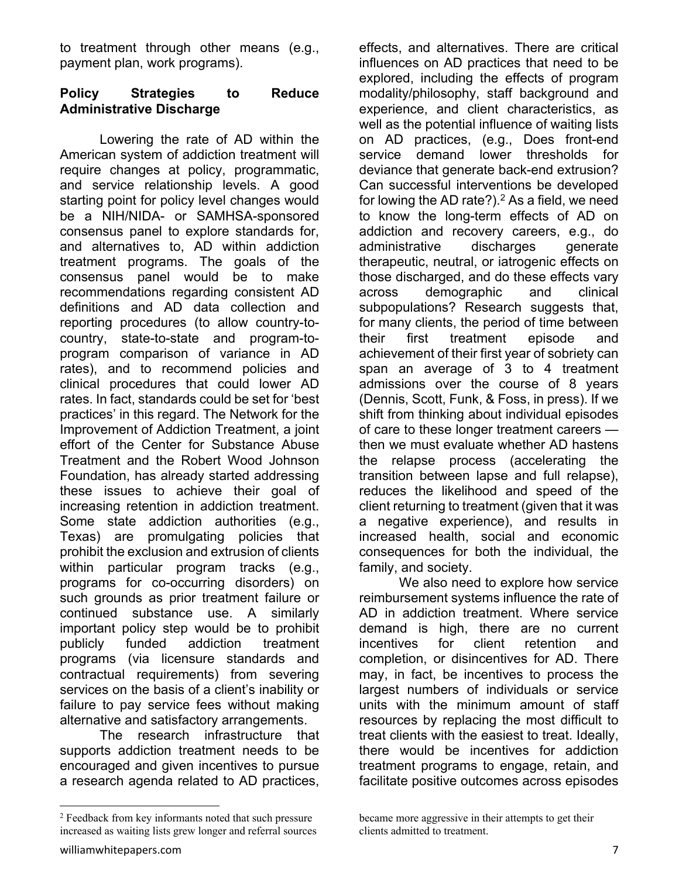to treatment through other means (e.g., payment plan, work programs).

# **Policy Strategies to Reduce Administrative Discharge**

 Lowering the rate of AD within the American system of addiction treatment will require changes at policy, programmatic, and service relationship levels. A good starting point for policy level changes would be a NIH/NIDA- or SAMHSA-sponsored consensus panel to explore standards for, and alternatives to, AD within addiction treatment programs. The goals of the consensus panel would be to make recommendations regarding consistent AD definitions and AD data collection and reporting procedures (to allow country-tocountry, state-to-state and program-toprogram comparison of variance in AD rates), and to recommend policies and clinical procedures that could lower AD rates. In fact, standards could be set for 'best practices' in this regard. The Network for the Improvement of Addiction Treatment, a joint effort of the Center for Substance Abuse Treatment and the Robert Wood Johnson Foundation, has already started addressing these issues to achieve their goal of increasing retention in addiction treatment. Some state addiction authorities (e.g., Texas) are promulgating policies that prohibit the exclusion and extrusion of clients within particular program tracks (e.g., programs for co-occurring disorders) on such grounds as prior treatment failure or continued substance use. A similarly important policy step would be to prohibit publicly funded addiction treatment programs (via licensure standards and contractual requirements) from severing services on the basis of a client's inability or failure to pay service fees without making alternative and satisfactory arrangements.

The research infrastructure that supports addiction treatment needs to be encouraged and given incentives to pursue a research agenda related to AD practices,

effects, and alternatives. There are critical influences on AD practices that need to be explored, including the effects of program modality/philosophy, staff background and experience, and client characteristics, as well as the potential influence of waiting lists on AD practices, (e.g., Does front-end service demand lower thresholds for deviance that generate back-end extrusion? Can successful interventions be developed for lowing the AD rate?). $2$  As a field, we need to know the long-term effects of AD on addiction and recovery careers, e.g., do administrative discharges generate therapeutic, neutral, or iatrogenic effects on those discharged, and do these effects vary across demographic and clinical subpopulations? Research suggests that, for many clients, the period of time between their first treatment episode and achievement of their first year of sobriety can span an average of 3 to 4 treatment admissions over the course of 8 years (Dennis, Scott, Funk, & Foss, in press). If we shift from thinking about individual episodes of care to these longer treatment careers then we must evaluate whether AD hastens the relapse process (accelerating the transition between lapse and full relapse), reduces the likelihood and speed of the client returning to treatment (given that it was a negative experience), and results in increased health, social and economic consequences for both the individual, the family, and society.

 We also need to explore how service reimbursement systems influence the rate of AD in addiction treatment. Where service demand is high, there are no current incentives for client retention and completion, or disincentives for AD. There may, in fact, be incentives to process the largest numbers of individuals or service units with the minimum amount of staff resources by replacing the most difficult to treat clients with the easiest to treat. Ideally, there would be incentives for addiction treatment programs to engage, retain, and facilitate positive outcomes across episodes

<sup>&</sup>lt;sup>2</sup> Feedback from key informants noted that such pressure increased as waiting lists grew longer and referral sources

became more aggressive in their attempts to get their clients admitted to treatment.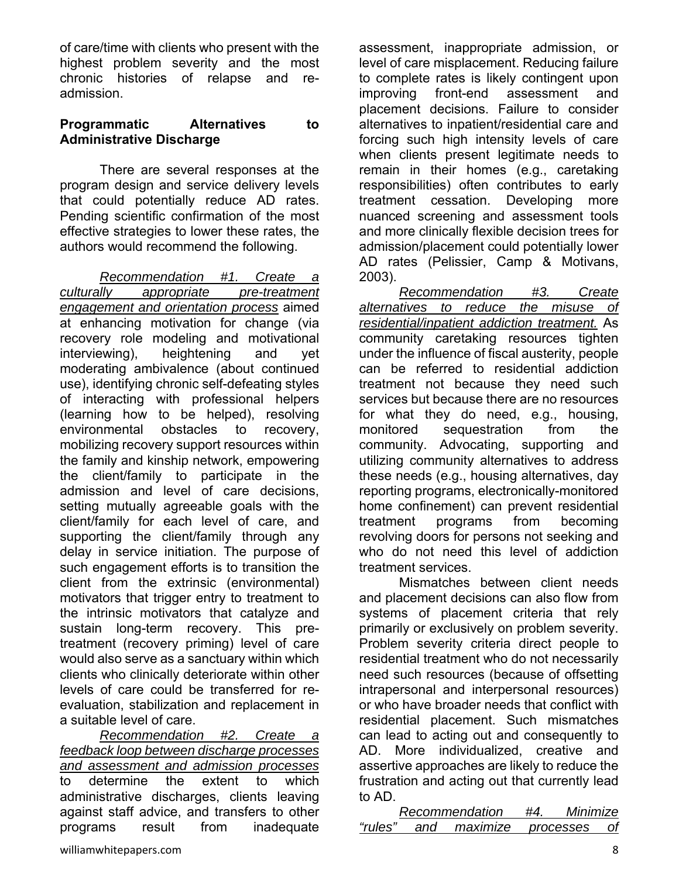of care/time with clients who present with the highest problem severity and the most chronic histories of relapse and readmission.

#### **Programmatic Alternatives to Administrative Discharge**

 There are several responses at the program design and service delivery levels that could potentially reduce AD rates. Pending scientific confirmation of the most effective strategies to lower these rates, the authors would recommend the following.

*Recommendation #1. Create a culturally appropriate pre-treatment engagement and orientation process* aimed at enhancing motivation for change (via recovery role modeling and motivational interviewing), heightening and yet moderating ambivalence (about continued use), identifying chronic self-defeating styles of interacting with professional helpers (learning how to be helped), resolving environmental obstacles to recovery, mobilizing recovery support resources within the family and kinship network, empowering the client/family to participate in the admission and level of care decisions, setting mutually agreeable goals with the client/family for each level of care, and supporting the client/family through any delay in service initiation. The purpose of such engagement efforts is to transition the client from the extrinsic (environmental) motivators that trigger entry to treatment to the intrinsic motivators that catalyze and sustain long-term recovery. This pretreatment (recovery priming) level of care would also serve as a sanctuary within which clients who clinically deteriorate within other levels of care could be transferred for reevaluation, stabilization and replacement in a suitable level of care.

*Recommendation #2. Create a feedback loop between discharge processes and assessment and admission processes*  to determine the extent to which administrative discharges, clients leaving against staff advice, and transfers to other programs result from inadequate

assessment, inappropriate admission, or level of care misplacement. Reducing failure to complete rates is likely contingent upon improving front-end assessment and placement decisions. Failure to consider alternatives to inpatient/residential care and forcing such high intensity levels of care when clients present legitimate needs to remain in their homes (e.g., caretaking responsibilities) often contributes to early treatment cessation. Developing more nuanced screening and assessment tools and more clinically flexible decision trees for admission/placement could potentially lower AD rates (Pelissier, Camp & Motivans, 2003).

*Recommendation #3. Create alternatives to reduce the misuse of residential/inpatient addiction treatment.* As community caretaking resources tighten under the influence of fiscal austerity, people can be referred to residential addiction treatment not because they need such services but because there are no resources for what they do need, e.g., housing, monitored sequestration from the community. Advocating, supporting and utilizing community alternatives to address these needs (e.g., housing alternatives, day reporting programs, electronically-monitored home confinement) can prevent residential treatment programs from becoming revolving doors for persons not seeking and who do not need this level of addiction treatment services.

Mismatches between client needs and placement decisions can also flow from systems of placement criteria that rely primarily or exclusively on problem severity. Problem severity criteria direct people to residential treatment who do not necessarily need such resources (because of offsetting intrapersonal and interpersonal resources) or who have broader needs that conflict with residential placement. Such mismatches can lead to acting out and consequently to AD. More individualized, creative and assertive approaches are likely to reduce the frustration and acting out that currently lead to AD.

|         | Recommendation |              | #4. | Minimize  |    |
|---------|----------------|--------------|-----|-----------|----|
| "rules" |                | and maximize |     | processes | 0f |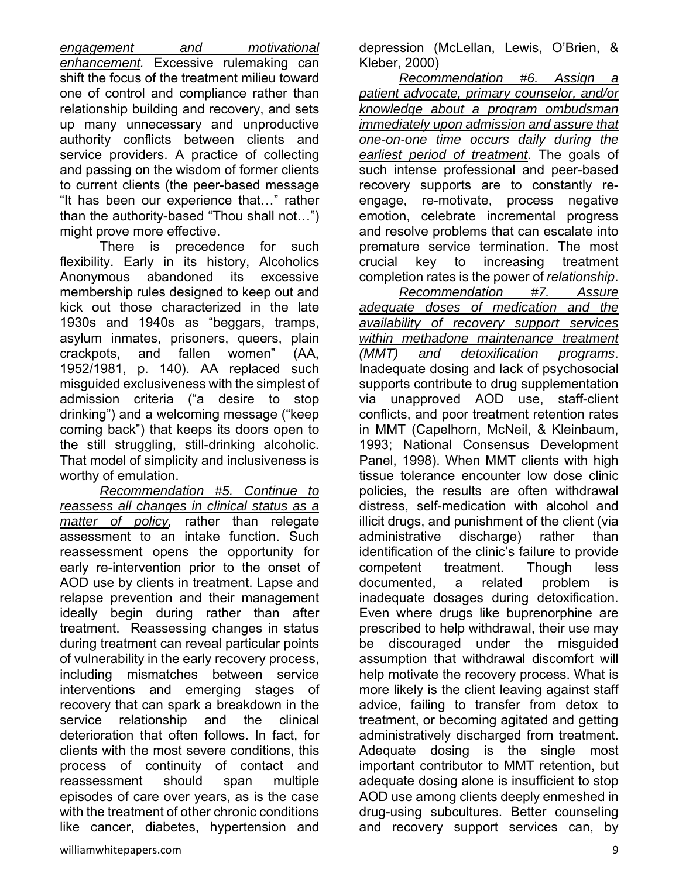*engagement and motivational enhancement.* Excessive rulemaking can shift the focus of the treatment milieu toward one of control and compliance rather than relationship building and recovery, and sets up many unnecessary and unproductive authority conflicts between clients and service providers. A practice of collecting and passing on the wisdom of former clients to current clients (the peer-based message "It has been our experience that…" rather than the authority-based "Thou shall not…") might prove more effective.

There is precedence for such flexibility. Early in its history, Alcoholics Anonymous abandoned its excessive membership rules designed to keep out and kick out those characterized in the late 1930s and 1940s as "beggars, tramps, asylum inmates, prisoners, queers, plain crackpots, and fallen women" (AA, 1952/1981, p. 140). AA replaced such misguided exclusiveness with the simplest of admission criteria ("a desire to stop drinking") and a welcoming message ("keep coming back") that keeps its doors open to the still struggling, still-drinking alcoholic. That model of simplicity and inclusiveness is worthy of emulation.

*Recommendation #5. Continue to reassess all changes in clinical status as a matter of policy,* rather than relegate assessment to an intake function. Such reassessment opens the opportunity for early re-intervention prior to the onset of AOD use by clients in treatment. Lapse and relapse prevention and their management ideally begin during rather than after treatment. Reassessing changes in status during treatment can reveal particular points of vulnerability in the early recovery process, including mismatches between service interventions and emerging stages of recovery that can spark a breakdown in the service relationship and the clinical deterioration that often follows. In fact, for clients with the most severe conditions, this process of continuity of contact and reassessment should span multiple episodes of care over years, as is the case with the treatment of other chronic conditions like cancer, diabetes, hypertension and depression (McLellan, Lewis, O'Brien, & Kleber, 2000)

*Recommendation #6. Assign a patient advocate, primary counselor, and/or knowledge about a program ombudsman immediately upon admission and assure that one-on-one time occurs daily during the earliest period of treatment*. The goals of such intense professional and peer-based recovery supports are to constantly reengage, re-motivate, process negative emotion, celebrate incremental progress and resolve problems that can escalate into premature service termination. The most crucial key to increasing treatment completion rates is the power of *relationship*.

*Recommendation #7. Assure adequate doses of medication and the availability of recovery support services within methadone maintenance treatment (MMT) and detoxification programs*. Inadequate dosing and lack of psychosocial supports contribute to drug supplementation via unapproved AOD use, staff-client conflicts, and poor treatment retention rates in MMT (Capelhorn, McNeil, & Kleinbaum, 1993; National Consensus Development Panel, 1998). When MMT clients with high tissue tolerance encounter low dose clinic policies, the results are often withdrawal distress, self-medication with alcohol and illicit drugs, and punishment of the client (via administrative discharge) rather than identification of the clinic's failure to provide competent treatment. Though less documented, a related problem is inadequate dosages during detoxification. Even where drugs like buprenorphine are prescribed to help withdrawal, their use may be discouraged under the misguided assumption that withdrawal discomfort will help motivate the recovery process. What is more likely is the client leaving against staff advice, failing to transfer from detox to treatment, or becoming agitated and getting administratively discharged from treatment. Adequate dosing is the single most important contributor to MMT retention, but adequate dosing alone is insufficient to stop AOD use among clients deeply enmeshed in drug-using subcultures. Better counseling and recovery support services can, by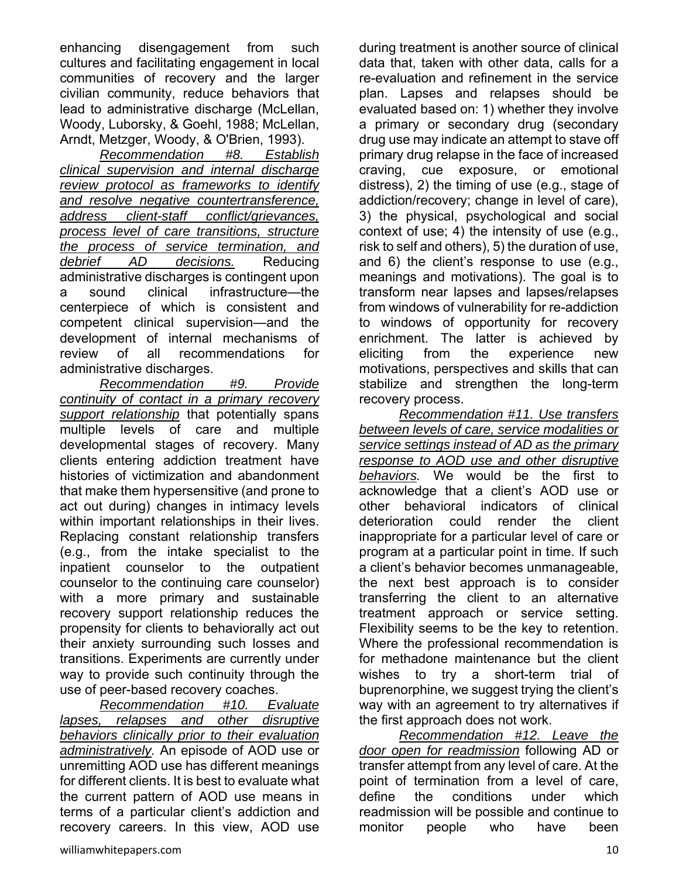enhancing disengagement from such cultures and facilitating engagement in local communities of recovery and the larger civilian community, reduce behaviors that lead to administrative discharge (McLellan, Woody, Luborsky, & Goehl, 1988; McLellan, Arndt, Metzger, Woody, & O'Brien, 1993).

*Recommendation #8. Establish clinical supervision and internal discharge review protocol as frameworks to identify and resolve negative countertransference, address client-staff conflict/grievances, process level of care transitions, structure the process of service termination, and debrief AD decisions.* Reducing administrative discharges is contingent upon a sound clinical infrastructure—the centerpiece of which is consistent and competent clinical supervision—and the development of internal mechanisms of review of all recommendations for administrative discharges.

*Recommendation #9. Provide continuity of contact in a primary recovery support relationship* that potentially spans multiple levels of care and multiple developmental stages of recovery. Many clients entering addiction treatment have histories of victimization and abandonment that make them hypersensitive (and prone to act out during) changes in intimacy levels within important relationships in their lives. Replacing constant relationship transfers (e.g., from the intake specialist to the inpatient counselor to the outpatient counselor to the continuing care counselor) with a more primary and sustainable recovery support relationship reduces the propensity for clients to behaviorally act out their anxiety surrounding such losses and transitions. Experiments are currently under way to provide such continuity through the use of peer-based recovery coaches.

*Recommendation #10. Evaluate lapses, relapses and other disruptive behaviors clinically prior to their evaluation administratively.* An episode of AOD use or unremitting AOD use has different meanings for different clients. It is best to evaluate what the current pattern of AOD use means in terms of a particular client's addiction and recovery careers. In this view, AOD use

during treatment is another source of clinical data that, taken with other data, calls for a re-evaluation and refinement in the service plan. Lapses and relapses should be evaluated based on: 1) whether they involve a primary or secondary drug (secondary drug use may indicate an attempt to stave off primary drug relapse in the face of increased craving, cue exposure, or emotional distress), 2) the timing of use (e.g., stage of addiction/recovery; change in level of care), 3) the physical, psychological and social context of use; 4) the intensity of use (e.g., risk to self and others), 5) the duration of use, and 6) the client's response to use (e.g., meanings and motivations). The goal is to transform near lapses and lapses/relapses from windows of vulnerability for re-addiction to windows of opportunity for recovery enrichment. The latter is achieved by eliciting from the experience new motivations, perspectives and skills that can stabilize and strengthen the long-term recovery process.

*Recommendation #11. Use transfers between levels of care, service modalities or service settings instead of AD as the primary response to AOD use and other disruptive behaviors.* We would be the first to acknowledge that a client's AOD use or other behavioral indicators of clinical deterioration could render the client inappropriate for a particular level of care or program at a particular point in time. If such a client's behavior becomes unmanageable, the next best approach is to consider transferring the client to an alternative treatment approach or service setting. Flexibility seems to be the key to retention. Where the professional recommendation is for methadone maintenance but the client wishes to try a short-term trial of buprenorphine, we suggest trying the client's way with an agreement to try alternatives if the first approach does not work.

*Recommendation #12. Leave the door open for readmission* following AD or transfer attempt from any level of care. At the point of termination from a level of care, define the conditions under which readmission will be possible and continue to monitor people who have been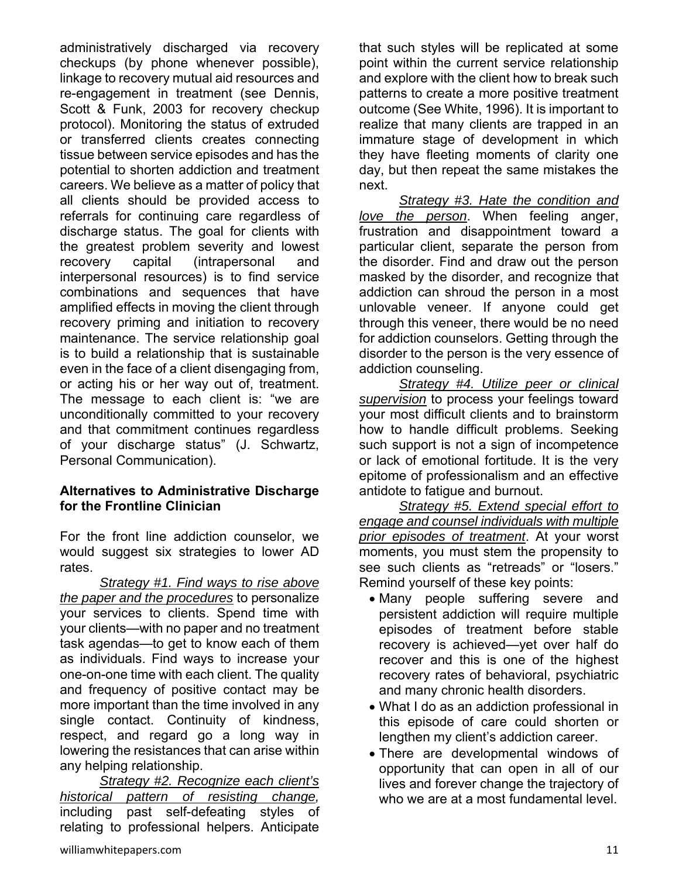administratively discharged via recovery checkups (by phone whenever possible), linkage to recovery mutual aid resources and re-engagement in treatment (see Dennis, Scott & Funk, 2003 for recovery checkup protocol). Monitoring the status of extruded or transferred clients creates connecting tissue between service episodes and has the potential to shorten addiction and treatment careers. We believe as a matter of policy that all clients should be provided access to referrals for continuing care regardless of discharge status. The goal for clients with the greatest problem severity and lowest recovery capital (intrapersonal and interpersonal resources) is to find service combinations and sequences that have amplified effects in moving the client through recovery priming and initiation to recovery maintenance. The service relationship goal is to build a relationship that is sustainable even in the face of a client disengaging from, or acting his or her way out of, treatment. The message to each client is: "we are unconditionally committed to your recovery and that commitment continues regardless of your discharge status" (J. Schwartz, Personal Communication).

#### **Alternatives to Administrative Discharge for the Frontline Clinician**

For the front line addiction counselor, we would suggest six strategies to lower AD rates.

*Strategy #1. Find ways to rise above the paper and the procedures* to personalize your services to clients. Spend time with your clients—with no paper and no treatment task agendas—to get to know each of them as individuals. Find ways to increase your one-on-one time with each client. The quality and frequency of positive contact may be more important than the time involved in any single contact. Continuity of kindness, respect, and regard go a long way in lowering the resistances that can arise within any helping relationship.

*Strategy #2. Recognize each client's historical pattern of resisting change,*  including past self-defeating styles of relating to professional helpers. Anticipate

that such styles will be replicated at some point within the current service relationship and explore with the client how to break such patterns to create a more positive treatment outcome (See White, 1996). It is important to realize that many clients are trapped in an immature stage of development in which they have fleeting moments of clarity one day, but then repeat the same mistakes the next.

*Strategy #3. Hate the condition and love the person*. When feeling anger, frustration and disappointment toward a particular client, separate the person from the disorder. Find and draw out the person masked by the disorder, and recognize that addiction can shroud the person in a most unlovable veneer. If anyone could get through this veneer, there would be no need for addiction counselors. Getting through the disorder to the person is the very essence of addiction counseling.

*Strategy #4. Utilize peer or clinical supervision* to process your feelings toward your most difficult clients and to brainstorm how to handle difficult problems. Seeking such support is not a sign of incompetence or lack of emotional fortitude. It is the very epitome of professionalism and an effective antidote to fatigue and burnout.

*Strategy #5. Extend special effort to engage and counsel individuals with multiple prior episodes of treatment*. At your worst moments, you must stem the propensity to see such clients as "retreads" or "losers." Remind yourself of these key points:

- Many people suffering severe and persistent addiction will require multiple episodes of treatment before stable recovery is achieved—yet over half do recover and this is one of the highest recovery rates of behavioral, psychiatric and many chronic health disorders.
- What I do as an addiction professional in this episode of care could shorten or lengthen my client's addiction career.
- There are developmental windows of opportunity that can open in all of our lives and forever change the trajectory of who we are at a most fundamental level.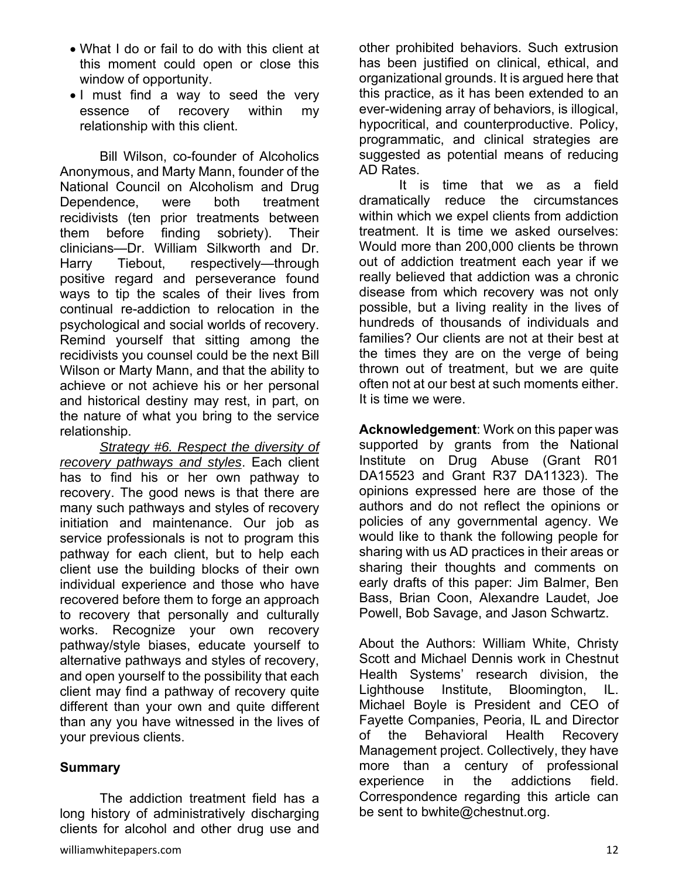- What I do or fail to do with this client at this moment could open or close this window of opportunity.
- I must find a way to seed the very essence of recovery within my relationship with this client.

Bill Wilson, co-founder of Alcoholics Anonymous, and Marty Mann, founder of the National Council on Alcoholism and Drug Dependence, were both treatment recidivists (ten prior treatments between them before finding sobriety). Their clinicians—Dr. William Silkworth and Dr. Harry Tiebout, respectively—through positive regard and perseverance found ways to tip the scales of their lives from continual re-addiction to relocation in the psychological and social worlds of recovery. Remind yourself that sitting among the recidivists you counsel could be the next Bill Wilson or Marty Mann, and that the ability to achieve or not achieve his or her personal and historical destiny may rest, in part, on the nature of what you bring to the service relationship.

*Strategy #6. Respect the diversity of recovery pathways and styles*. Each client has to find his or her own pathway to recovery. The good news is that there are many such pathways and styles of recovery initiation and maintenance. Our job as service professionals is not to program this pathway for each client, but to help each client use the building blocks of their own individual experience and those who have recovered before them to forge an approach to recovery that personally and culturally works. Recognize your own recovery pathway/style biases, educate yourself to alternative pathways and styles of recovery, and open yourself to the possibility that each client may find a pathway of recovery quite different than your own and quite different than any you have witnessed in the lives of your previous clients.

#### **Summary**

 The addiction treatment field has a long history of administratively discharging clients for alcohol and other drug use and other prohibited behaviors. Such extrusion has been justified on clinical, ethical, and organizational grounds. It is argued here that this practice, as it has been extended to an ever-widening array of behaviors, is illogical, hypocritical, and counterproductive. Policy, programmatic, and clinical strategies are suggested as potential means of reducing AD Rates.

It is time that we as a field dramatically reduce the circumstances within which we expel clients from addiction treatment. It is time we asked ourselves: Would more than 200,000 clients be thrown out of addiction treatment each year if we really believed that addiction was a chronic disease from which recovery was not only possible, but a living reality in the lives of hundreds of thousands of individuals and families? Our clients are not at their best at the times they are on the verge of being thrown out of treatment, but we are quite often not at our best at such moments either. It is time we were.

**Acknowledgement**: Work on this paper was supported by grants from the National Institute on Drug Abuse (Grant R01 DA15523 and Grant R37 DA11323). The opinions expressed here are those of the authors and do not reflect the opinions or policies of any governmental agency. We would like to thank the following people for sharing with us AD practices in their areas or sharing their thoughts and comments on early drafts of this paper: Jim Balmer, Ben Bass, Brian Coon, Alexandre Laudet, Joe Powell, Bob Savage, and Jason Schwartz.

About the Authors: William White, Christy Scott and Michael Dennis work in Chestnut Health Systems' research division, the Lighthouse Institute, Bloomington, IL. Michael Boyle is President and CEO of Fayette Companies, Peoria, IL and Director of the Behavioral Health Recovery Management project. Collectively, they have more than a century of professional experience in the addictions field. Correspondence regarding this article can be sent to bwhite@chestnut.org.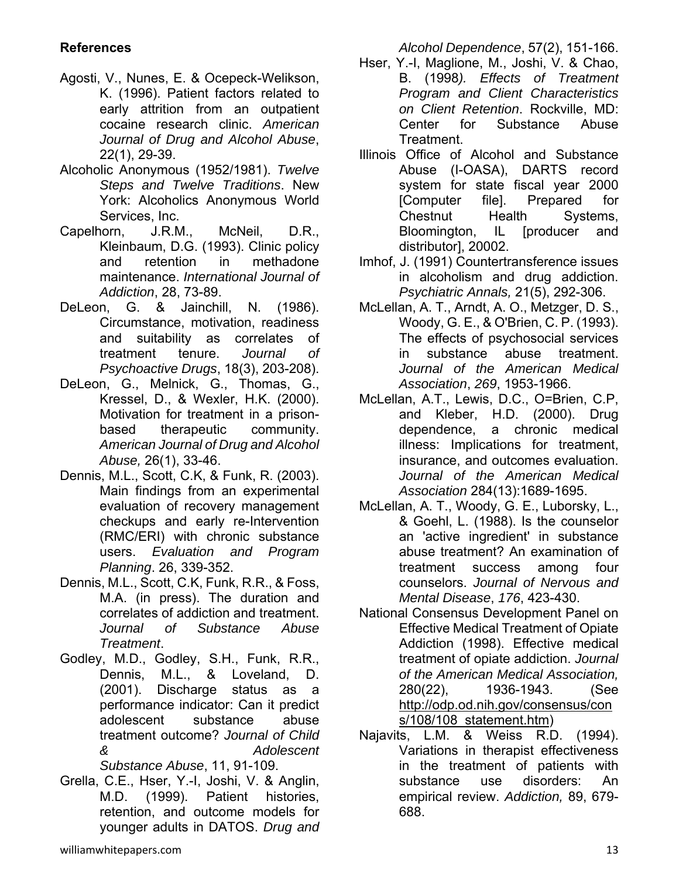# **References**

- Agosti, V., Nunes, E. & Ocepeck-Welikson, K. (1996). Patient factors related to early attrition from an outpatient cocaine research clinic. *American Journal of Drug and Alcohol Abuse*, 22(1), 29-39.
- Alcoholic Anonymous (1952/1981). *Twelve Steps and Twelve Traditions*. New York: Alcoholics Anonymous World Services, Inc.
- Capelhorn, J.R.M., McNeil, D.R., Kleinbaum, D.G. (1993). Clinic policy and retention in methadone maintenance. *International Journal of Addiction*, 28, 73-89.
- DeLeon, G. & Jainchill, N. (1986). Circumstance, motivation, readiness and suitability as correlates of treatment tenure. *Journal of Psychoactive Drugs*, 18(3), 203-208).
- DeLeon, G., Melnick, G., Thomas, G., Kressel, D., & Wexler, H.K. (2000). Motivation for treatment in a prisonbased therapeutic community. *American Journal of Drug and Alcohol Abuse,* 26(1), 33-46.
- Dennis, M.L., Scott, C.K, & Funk, R. (2003). Main findings from an experimental evaluation of recovery management checkups and early re-Intervention (RMC/ERI) with chronic substance users. *Evaluation and Program Planning*. 26, 339-352.
- Dennis, M.L., Scott, C.K, Funk, R.R., & Foss, M.A. (in press). The duration and correlates of addiction and treatment. *Journal of Substance Abuse Treatment*.
- Godley, M.D., Godley, S.H., Funk, R.R., Dennis, M.L., & Loveland, D. (2001). Discharge status as a performance indicator: Can it predict adolescent substance abuse treatment outcome? *Journal of Child & Adolescent Substance Abuse*, 11, 91-109.
- Grella, C.E., Hser, Y.-I, Joshi, V. & Anglin, M.D. (1999). Patient histories, retention, and outcome models for younger adults in DATOS. *Drug and*

*Alcohol Dependence*, 57(2), 151-166.

- Hser, Y.-I, Maglione, M., Joshi, V. & Chao, B. (1998*). Effects of Treatment Program and Client Characteristics on Client Retention*. Rockville, MD: Center for Substance Abuse Treatment.
- Illinois Office of Alcohol and Substance Abuse (I-OASA), DARTS record system for state fiscal year 2000 [Computer file]. Prepared for Chestnut Health Systems, Bloomington, IL [producer and distributor], 20002.
- Imhof, J. (1991) Countertransference issues in alcoholism and drug addiction. *Psychiatric Annals,* 21(5), 292-306.
- McLellan, A. T., Arndt, A. O., Metzger, D. S., Woody, G. E., & O'Brien, C. P. (1993). The effects of psychosocial services in substance abuse treatment. *Journal of the American Medical Association*, *269*, 1953-1966.
- McLellan, A.T., Lewis, D.C., O=Brien, C.P, and Kleber, H.D. (2000). Drug dependence, a chronic medical illness: Implications for treatment, insurance, and outcomes evaluation. *Journal of the American Medical Association* 284(13):1689-1695.
- McLellan, A. T., Woody, G. E., Luborsky, L., & Goehl, L. (1988). Is the counselor an 'active ingredient' in substance abuse treatment? An examination of treatment success among four counselors. *Journal of Nervous and Mental Disease*, *176*, 423-430.
- National Consensus Development Panel on Effective Medical Treatment of Opiate Addiction (1998). Effective medical treatment of opiate addiction. *Journal of the American Medical Association,* 280(22), 1936-1943. (See http://odp.od.nih.gov/consensus/con s/108/108 statement.htm)
- Najavits, L.M. & Weiss R.D. (1994). Variations in therapist effectiveness in the treatment of patients with substance use disorders: An empirical review. *Addiction,* 89, 679- 688.